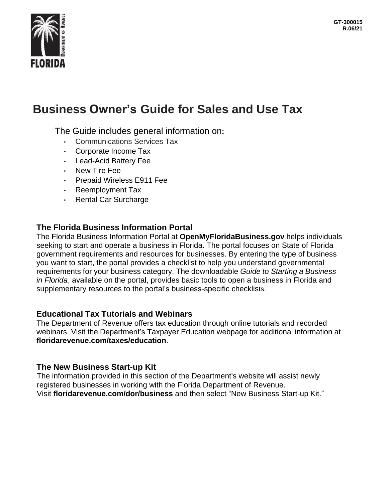

# **Business Owner's Guide for Sales and Use Tax**

The Guide includes general information on:

- Communications Services Tax
- Corporate Income Tax
- Lead-Acid Battery Fee
- New Tire Fee
- Prepaid Wireless E911 Fee
- Reemployment Tax
- Rental Car Surcharge

# **The Florida Business Information Portal**

The Florida Business Information Portal at **OpenMyFloridaBusiness.gov** helps individuals seeking to start and operate a business in Florida. The portal focuses on State of Florida government requirements and resources for businesses. By entering the type of business you want to start, the portal provides a checklist to help you understand governmental requirements for your business category. The downloadable *Guide to Starting a Business in Florida*, available on the portal, provides basic tools to open a business in Florida and supplementary resources to the portal's business-specific checklists.

### **Educational Tax Tutorials and Webinars**

The Department of Revenue offers tax education through online tutorials and recorded webinars. Visit the Department's Taxpayer Education webpage for additional information at **floridarevenue.com/taxes/education**.

# **The New Business Start-up Kit**

The information provided in this section of the Department's website will assist newly registered businesses in working with the Florida Department of Revenue. Visit **floridarevenue.com/dor/business** and then select "New Business Start-up Kit."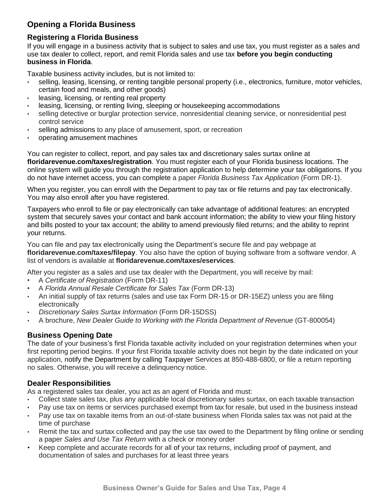# **Opening a Florida Business**

### **Registering a Florida Business**

If you will engage in a business activity that is subject to sales and use tax, you must register as a sales and use tax dealer to collect, report, and remit Florida sales and use tax **before you begin conducting business in Florida**.

Taxable business activity includes, but is not limited to:

- selling, leasing, licensing, or renting tangible personal property (i.e., electronics, furniture, motor vehicles, certain food and meals, and other goods)
- leasing, licensing, or renting real property
- leasing, licensing, or renting living, sleeping or housekeeping accommodations
- selling detective or burglar protection service, nonresidential cleaning service, or nonresidential pest control service
- selling admissions to any place of amusement, sport, or recreation
- operating amusement machines

You can register to collect, report, and pay sales tax and discretionary sales surtax online at **floridarevenue.com/taxes/registration**. You must register each of your Florida business locations. The online system will guide you through the registration application to help determine your tax obligations. If you do not have internet access, you can complete a paper *Florida Business Tax Application* (Form DR-1).

When you register, you can enroll with the Department to pay tax or file returns and pay tax electronically. You may also enroll after you have registered.

Taxpayers who enroll to file or pay electronically can take advantage of additional features: an encrypted system that securely saves your contact and bank account information; the ability to view your filing history and bills posted to your tax account; the ability to amend previously filed returns; and the ability to reprint your returns.

You can file and pay tax electronically using the Department's secure file and pay webpage at **floridarevenue.com/taxes/filepay**. You also have the option of buying software from a software vendor. A list of vendors is available at **floridarevenue.com/taxes/eservices**.

After you register as a sales and use tax dealer with the Department, you will receive by mail:

- A *Certificate of Registration* (Form DR-11)
- A *Florida Annual Resale Certificate for Sales Tax* (Form DR-13)
- An initial supply of tax returns (sales and use tax Form DR-15 or DR-15EZ) unless you are filing electronically
- *Discretionary Sales Surtax Information* (Form DR-15DSS)
- A brochure, *New Dealer Guide to Working with the Florida Department of Revenue* (GT-800054)

### **Business Opening Date**

The date of your business's first Florida taxable activity included on your registration determines when your first reporting period begins. If your first Florida taxable activity does not begin by the date indicated on your application, notify the Department by calling Taxpayer Services at 850-488-6800, or file a return reporting no sales. Otherwise, you will receive a delinquency notice.

# **Dealer Responsibilities**

As a registered sales tax dealer, you act as an agent of Florida and must:

- Collect state sales tax, plus any applicable local discretionary sales surtax, on each taxable transaction
- Pay use tax on items or services purchased exempt from tax for resale, but used in the business instead
- Pay use tax on taxable items from an out-of-state business when Florida sales tax was not paid at the time of purchase
- Remit the tax and surtax collected and pay the use tax owed to the Department by filing online or sending a paper *Sales and Use Tax Return* with a check or money order
- Keep complete and accurate records for all of your tax returns, including proof of payment, and documentation of sales and purchases for at least three years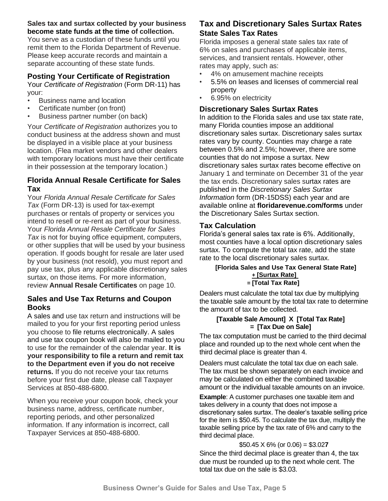#### **Sales tax and surtax collected by your business become state funds at the time of collection.**

You serve as a custodian of these funds until you remit them to the Florida Department of Revenue. Please keep accurate records and maintain a separate accounting of these state funds.

### **Posting Your Certificate of Registration**

Your *Certificate of Registration* (Form DR-11) has your:

- Business name and location
- Certificate number (on front)
- Business partner number (on back)

Your *Certificate of Registration* authorizes you to conduct business at the address shown and must be displayed in a visible place at your business location. (Flea market vendors and other dealers with temporary locations must have their certificate in their possession at the temporary location.)

### **Florida Annual Resale Certificate for Sales Tax**

Your *Florida Annual Resale Certificate for Sales Tax* (Form DR-13) is used for tax-exempt purchases or rentals of property or services you intend to resell or re-rent as part of your business. Your *Florida Annual Resale Certificate for Sales Tax* is not for buying office equipment, computers, or other supplies that will be used by your business operation. If goods bought for resale are later used by your business (not resold), you must report and pay use tax, plus any applicable discretionary sales surtax, on those items. For more information, review **Annual Resale Certificates** on page 10.

### **Sales and Use Tax Returns and Coupon Books**

A sales and use tax return and instructions will be mailed to you for your first reporting period unless you choose to file returns electronically. A sales and use tax coupon book will also be mailed to you to use for the remainder of the calendar year. **It is your responsibility to file a return and remit tax to the Department even if you do not receive returns.** If you do not receive your tax returns before your first due date, please call Taxpayer Services at 850-488-6800.

When you receive your coupon book, check your business name, address, certificate number, reporting periods, and other personalized information. If any information is incorrect, call Taxpayer Services at 850-488-6800.

# **Tax and Discretionary Sales Surtax Rates State Sales Tax Rates**

Florida imposes a general state sales tax rate of 6% on sales and purchases of applicable items, services, and transient rentals. However, other rates may apply, such as:

- 4% on amusement machine receipts
- 5.5% on leases and licenses of commercial real property
- 6.95% on electricity

# **Discretionary Sales Surtax Rates**

In addition to the Florida sales and use tax state rate, many Florida counties impose an additional discretionary sales surtax. Discretionary sales surtax rates vary by county. Counties may charge a rate between 0.5% and 2.5%; however, there are some counties that do not impose a surtax. New discretionary sales surtax rates become effective on January 1 and terminate on December 31 of the year the tax ends. Discretionary sales surtax rates are published in the *Discretionary Sales Surtax Information* form (DR-15DSS) each year and are available online at **floridarevenue.com/forms** under the Discretionary Sales Surtax section.

### **Tax Calculation**

Florida's general sales tax rate is 6%. Additionally, most counties have a local option discretionary sales surtax. To compute the total tax rate, add the state rate to the local discretionary sales surtax.

#### **[Florida Sales and Use Tax General State Rate] + [Surtax Rate] = [Total Tax Rate]**

Dealers must calculate the total tax due by multiplying the taxable sale amount by the total tax rate to determine the amount of tax to be collected.

#### **[Taxable Sale Amount] X [Total Tax Rate] = [Tax Due on Sale]**

The tax computation must be carried to the third decimal place and rounded up to the next whole cent when the third decimal place is greater than 4.

Dealers must calculate the total tax due on each sale. The tax must be shown separately on each invoice and may be calculated on either the combined taxable amount or the individual taxable amounts on an invoice.

**Example**: A customer purchases one taxable item and takes delivery in a county that does not impose a discretionary sales surtax. The dealer's taxable selling price for the item is \$50.45. To calculate the tax due, multiply the taxable selling price by the tax rate of 6% and carry to the third decimal place.

### \$50.45 X 6% (or 0.06) = \$3.02**7**

Since the third decimal place is greater than 4, the tax due must be rounded up to the next whole cent. The total tax due on the sale is \$3.03.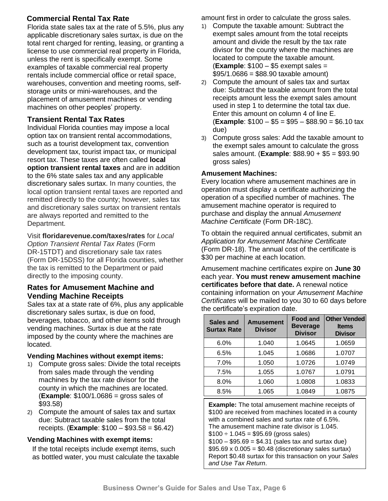# **Commercial Rental Tax Rate**

Florida state sales tax at the rate of 5.5%, plus any applicable discretionary sales surtax, is due on the total rent charged for renting, leasing, or granting a license to use commercial real property in Florida, unless the rent is specifically exempt. Some examples of taxable commercial real property rentals include commercial office or retail space, warehouses, convention and meeting rooms, selfstorage units or mini-warehouses, and the placement of amusement machines or vending machines on other peoples' property.

# **Transient Rental Tax Rates**

Individual Florida counties may impose a local option tax on transient rental accommodations, such as a tourist development tax, convention development tax, tourist impact tax, or municipal resort tax. These taxes are often called **local option transient rental taxes** and are in addition to the 6% state sales tax and any applicable discretionary sales surtax. In many counties, the local option transient rental taxes are reported and remitted directly to the county; however, sales tax and discretionary sales surtax on transient rentals are always reported and remitted to the Department.

Visit **floridarevenue.com/taxes/rates** for *Local Option Transient Rental Tax Rates* (Form DR-15TDT) and discretionary sale tax rates (Form DR-15DSS) for all Florida counties, whether the tax is remitted to the Department or paid directly to the imposing county.

### **Rates for Amusement Machine and Vending Machine Receipts**

Sales tax at a state rate of 6%, plus any applicable discretionary sales surtax, is due on food, beverages, tobacco, and other items sold through vending machines. Surtax is due at the rate imposed by the county where the machines are located.

#### **Vending Machines without exempt items:**

- 1) Compute gross sales: Divide the total receipts from sales made through the vending machines by the tax rate divisor for the county in which the machines are located. (**Example**: \$100/1.0686 = gross sales of \$93.58)
- 2) Compute the amount of sales tax and surtax due: Subtract taxable sales from the total receipts. (**Example**: \$100 – \$93.58 = \$6.42)

### **Vending Machines with exempt items:**

If the total receipts include exempt items, such as bottled water, you must calculate the taxable amount first in order to calculate the gross sales.

- 1) Compute the taxable amount: Subtract the exempt sales amount from the total receipts amount and divide the result by the tax rate divisor for the county where the machines are located to compute the taxable amount. (**Example**: \$100 – \$5 exempt sales =  $$95/1.0686 = $88.90$  taxable amount)
- 2) Compute the amount of sales tax and surtax due: Subtract the taxable amount from the total receipts amount less the exempt sales amount used in step 1 to determine the total tax due. Enter this amount on column 4 of line E. (**Example**: \$100 – \$5 = \$95 – \$88.90 = \$6.10 tax due)
- 3) Compute gross sales: Add the taxable amount to the exempt sales amount to calculate the gross sales amount. (**Example**: \$88.90 + \$5 = \$93.90 gross sales)

### **Amusement Machines:**

Every location where amusement machines are in operation must display a certificate authorizing the operation of a specified number of machines. The amusement machine operator is required to purchase and display the annual *Amusement Machine Certificate* (Form DR-18C).

To obtain the required annual certificates, submit an *Application for Amusement Machine Certificate*  (Form DR-18). The annual cost of the certificate is \$30 per machine at each location.

Amusement machine certificates expire on **June 30**  each year. **You must renew amusement machine certificates before that date.** A renewal notice containing information on your *Amusement Machine Certificates* will be mailed to you 30 to 60 days before the certificate's expiration date.

| Sales and<br><b>Surtax Rate</b> | <b>Amusement</b><br><b>Divisor</b> | <b>Food and</b><br><b>Beverage</b><br><b>Divisor</b> | <b>Other Vended</b><br><b>Items</b><br><b>Divisor</b> |
|---------------------------------|------------------------------------|------------------------------------------------------|-------------------------------------------------------|
| 6.0%                            | 1.040                              | 1.0645                                               | 1.0659                                                |
| 6.5%                            | 1.045                              | 1.0686                                               | 1.0707                                                |
| 7.0%                            | 1.050                              | 1.0726                                               | 1.0749                                                |
| 7.5%                            | 1.055                              | 1.0767                                               | 1.0791                                                |
| 8.0%                            | 1.060                              | 1.0808                                               | 1.0833                                                |
| 8.5%                            | 1.065                              | 1.0849                                               | 1.0875                                                |

**Example:** The total amusement machine receipts of \$100 are received from machines located in a county with a combined sales and surtax rate of 6.5%. The amusement machine rate divisor is 1.045.  $$100 \div 1.045 = $95.69$  (gross sales)  $$100 - $95.69 = $4.31$  (sales tax and surtax due)  $$95.69 \times 0.005 = $0.48$  (discretionary sales surtax) Report \$0.48 surtax for this transaction on your *Sales and Use Tax Return*.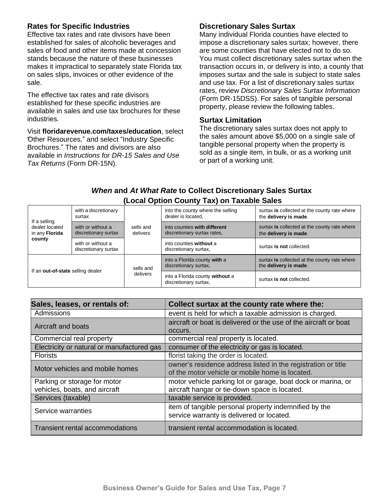### **Rates for Specific Industries**

Effective tax rates and rate divisors have been established for sales of alcoholic beverages and sales of food and other items made at concession stands because the nature of these businesses makes it impractical to separately state Florida tax on sales slips, invoices or other evidence of the sale.

The effective tax rates and rate divisors established for these specific industries are available in sales and use tax brochures for these industries.

Visit **floridarevenue.com/taxes/education**, select "Other Resources," and select "Industry Specific Brochures." The rates and divisors are also available in *Instructions for DR-15 Sales and Use Tax Returns* (Form DR-15N).

### **Discretionary Sales Surtax**

Many individual Florida counties have elected to impose a discretionary sales surtax; however, there are some counties that have elected not to do so. You must collect discretionary sales surtax when the transaction occurs in, or delivery is into, a county that imposes surtax and the sale is subject to state sales and use tax. For a list of discretionary sales surtax rates, review *Discretionary Sales Surtax Information*  (Form DR-15DSS). For sales of tangible personal property, please review the following tables.

#### **Surtax Limitation**

The discretionary sales surtax does not apply to the sales amount above \$5,000 on a single sale of tangible personal property when the property is sold as a single item, in bulk, or as a working unit or part of a working unit.

# *When* **and** *At What Rate* **to Collect Discretionary Sales Surtax (Local Option County Tax) on Taxable Sales**

| with a discretionary<br>surtax<br>If a selling |                                           |                       | into the county where the selling<br>dealer is located.     | surtax is collected at the county rate where<br>the delivery is made. |
|------------------------------------------------|-------------------------------------------|-----------------------|-------------------------------------------------------------|-----------------------------------------------------------------------|
| dealer located<br>in any <b>Florida</b>        | with or without a<br>discretionary surtax | sells and<br>delivers | into counties with different<br>discretionary surtax rates, | surtax is collected at the county rate where<br>the delivery is made. |
| county                                         | with or without a<br>discretionary surtax |                       | into counties without a<br>discretionary surtax,            | surtax is not collected.                                              |
| If an out-of-state selling dealer              |                                           | sells and<br>delivers | into a Florida county with a<br>discretionary surtax,       | surtax is collected at the county rate where<br>the delivery is made. |
|                                                |                                           |                       | into a Florida county without a<br>discretionary surtax,    | surtax is not collected.                                              |

| Sales, leases, or rentals of:              | Collect surtax at the county rate where the:                     |  |
|--------------------------------------------|------------------------------------------------------------------|--|
| Admissions                                 | event is held for which a taxable admission is charged.          |  |
| Aircraft and boats                         | aircraft or boat is delivered or the use of the aircraft or boat |  |
|                                            | occurs.                                                          |  |
| Commercial real property                   | commercial real property is located.                             |  |
| Electricity or natural or manufactured gas | consumer of the electricity or gas is located.                   |  |
| <b>Florists</b>                            | florist taking the order is located.                             |  |
| Motor vehicles and mobile homes            | owner's residence address listed in the registration or title    |  |
|                                            | of the motor vehicle or mobile home is located.                  |  |
| Parking or storage for motor               | motor vehicle parking lot or garage, boat dock or marina, or     |  |
| vehicles, boats, and aircraft              | aircraft hangar or tie-down space is located.                    |  |
| Services (taxable)                         | taxable service is provided.                                     |  |
| Service warranties                         | item of tangible personal property indemnified by the            |  |
|                                            | service warranty is delivered or located.                        |  |
| Transient rental accommodations            | transient rental accommodation is located.                       |  |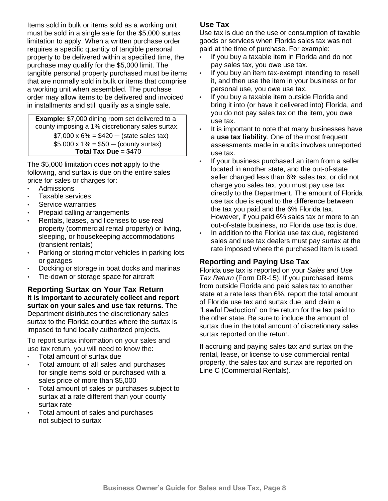Items sold in bulk or items sold as a working unit must be sold in a single sale for the \$5,000 surtax limitation to apply. When a written purchase order requires a specific quantity of tangible personal property to be delivered within a specified time, the purchase may qualify for the \$5,000 limit. The tangible personal property purchased must be items that are normally sold in bulk or items that comprise a working unit when assembled. The purchase order may allow items to be delivered and invoiced in installments and still qualify as a single sale.

**Example:** \$7,000 dining room set delivered to a county imposing a 1% discretionary sales surtax.  $$7,000 \times 6\% = $420 - (state sales tax)$  $$5,000 \times 1\% = $50 - (county sutax)$ **Total Tax Due** = \$470

The \$5,000 limitation does **not** apply to the following, and surtax is due on the entire sales price for sales or charges for:

- Admissions
- Taxable services
- Service warranties
- Prepaid calling arrangements
- Rentals, leases, and licenses to use real property (commercial rental property) or living, sleeping, or housekeeping accommodations (transient rentals)
- Parking or storing motor vehicles in parking lots or garages
- Docking or storage in boat docks and marinas
- Tie-down or storage space for aircraft

**Reporting Surtax on Your Tax Return It is important to accurately collect and report surtax on your sales and use tax returns.** The Department distributes the discretionary sales surtax to the Florida counties where the surtax is imposed to fund locally authorized projects.

To report surtax information on your sales and use tax return, you will need to know the:

- Total amount of surtax due
- Total amount of all sales and purchases for single items sold or purchased with a sales price of more than \$5,000
- Total amount of sales or purchases subject to surtax at a rate different than your county surtax rate
- Total amount of sales and purchases not subject to surtax

### **Use Tax**

Use tax is due on the use or consumption of taxable goods or services when Florida sales tax was not paid at the time of purchase. For example:

- **•** If you buy a taxable item in Florida and do not pay sales tax, you owe use tax.
- **•** If you buy an item tax-exempt intending to resell it, and then use the item in your business or for personal use, you owe use tax.
- **•** If you buy a taxable item outside Florida and bring it into (or have it delivered into) Florida, and you do not pay sales tax on the item, you owe use tax.
- **•** It is important to note that many businesses have a **use tax liability**. One of the most frequent assessments made in audits involves unreported use tax.
- **•** If your business purchased an item from a seller located in another state, and the out-of-state seller charged less than 6% sales tax, or did not charge you sales tax, you must pay use tax directly to the Department. The amount of Florida use tax due is equal to the difference between the tax you paid and the 6% Florida tax. However, if you paid 6% sales tax or more to an out-of-state business, no Florida use tax is due.
- **•** In addition to the Florida use tax due, registered sales and use tax dealers must pay surtax at the rate imposed where the purchased item is used.

### **Reporting and Paying Use Tax**

Florida use tax is reported on your *Sales and Use Tax Return* (Form DR-15). If you purchased items from outside Florida and paid sales tax to another state at a rate less than 6%, report the total amount of Florida use tax and surtax due, and claim a "Lawful Deduction" on the return for the tax paid to the other state. Be sure to include the amount of surtax due in the total amount of discretionary sales surtax reported on the return.

If accruing and paying sales tax and surtax on the rental, lease, or license to use commercial rental property, the sales tax and surtax are reported on Line C (Commercial Rentals).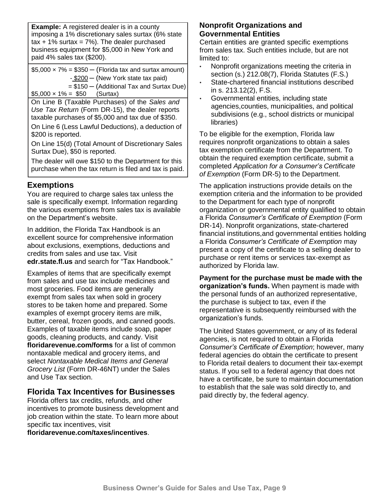**Example:** A registered dealer is in a county imposing a 1% discretionary sales surtax (6% state  $tax + 1\%$  surtax = 7%). The dealer purchased business equipment for \$5,000 in New York and paid 4% sales tax (\$200).

 $$5,000 \times 7\% = $350 - (Florida tax and sutax amount)$ - \$200 ─ (New York state tax paid) = \$150 ─ (Additional Tax and Surtax Due)  $$5,000 \times 1\% = $50$  (Surtax)

On Line B (Taxable Purchases) of the *Sales and Use Tax Return* (Form DR-15), the dealer reports taxable purchases of \$5,000 and tax due of \$350.

On Line 6 (Less Lawful Deductions), a deduction of \$200 is reported.

On Line 15(d) (Total Amount of Discretionary Sales Surtax Due), \$50 is reported.

The dealer will owe \$150 to the Department for this purchase when the tax return is filed and tax is paid.

# **Exemptions**

You are required to charge sales tax unless the sale is specifically exempt. Information regarding the various exemptions from sales tax is available on the Department's website.

In addition, the Florida Tax Handbook is an excellent source for comprehensive information about exclusions, exemptions, deductions and credits from sales and use tax. Visit **edr.state.fl.us** and search for "Tax Handbook."

Examples of items that are specifically exempt from sales and use tax include medicines and most groceries. Food items are generally exempt from sales tax when sold in grocery stores to be taken home and prepared. Some examples of exempt grocery items are milk, butter, cereal, frozen goods, and canned goods. Examples of taxable items include soap, paper goods, cleaning products, and candy. Visit **floridarevenue.com/forms** for a list of common nontaxable medical and grocery items, and select *Nontaxable Medical Items and General Grocery List* (Form DR-46NT) under the Sales and Use Tax section.

# **Florida Tax Incentives for Businesses**

Florida offers tax credits, refunds, and other incentives to promote business development and job creation within the state. To learn more about specific tax incentives, visit

**floridarevenue.com/taxes/incentives**.

### **Nonprofit Organizations and Governmental Entities**

Certain entities are granted specific exemptions from sales tax. Such entities include, but are not limited to:

- Nonprofit organizations meeting the criteria in section (s.) 212.08(7), Florida Statutes (F.S.)
- State-chartered financial institutions described in s. 213.12(2), F.S.
- Governmental entities, including state agencies,counties, municipalities, and political subdivisions (e.g., school districts or municipal libraries)

To be eligible for the exemption, Florida law requires nonprofit organizations to obtain a sales tax exemption certificate from the Department. To obtain the required exemption certificate, submit a completed *Application for a Consumer's Certificate of Exemption* (Form DR-5) to the Department.

The application instructions provide details on the exemption criteria and the information to be provided to the Department for each type of nonprofit organization or governmental entity qualified to obtain a Florida *Consumer's Certificate of Exemption* (Form DR-14). Nonprofit organizations, state-chartered financial institutions,and governmental entities holding a Florida *Consumer's Certificate of Exemption* may present a copy of the certificate to a selling dealer to purchase or rent items or services tax-exempt as authorized by Florida law.

**Payment for the purchase must be made with the organization's funds.** When payment is made with the personal funds of an authorized representative, the purchase is subject to tax, even if the representative is subsequently reimbursed with the organization's funds.

The United States government, or any of its federal agencies, is not required to obtain a Florida *Consumer's Certificate of Exemption*; however, many federal agencies do obtain the certificate to present to Florida retail dealers to document their tax-exempt status. If you sell to a federal agency that does not have a certificate, be sure to maintain documentation to establish that the sale was sold directly to, and paid directly by, the federal agency.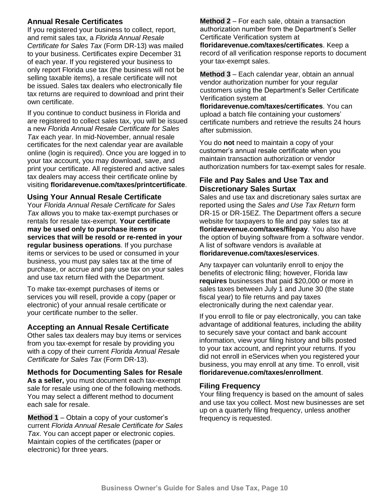### **Annual Resale Certificates**

If you registered your business to collect, report, and remit sales tax, a *Florida Annual Resale Certificate for Sales Tax* (Form DR-13) was mailed to your business. Certificates expire December 31 of each year. If you registered your business to only report Florida use tax (the business will not be selling taxable items), a resale certificate will not be issued. Sales tax dealers who electronically file tax returns are required to download and print their own certificate.

If you continue to conduct business in Florida and are registered to collect sales tax, you will be issued a new *Florida Annual Resale Certificate for Sales Tax* each year. In mid-November, annual resale certificates for the next calendar year are available online (login is required). Once you are logged in to your tax account, you may download, save, and print your certificate. All registered and active sales tax dealers may access their certificate online by visiting **floridarevenue.com/taxes/printcertificate**.

#### **Using Your Annual Resale Certificate**

Your *Florida Annual Resale Certificate for Sales Tax* allows you to make tax-exempt purchases or rentals for resale tax-exempt. **Your certificate may be used only to purchase items or services that will be resold or re-rented in your regular business operations**. If you purchase items or services to be used or consumed in your business, you must pay sales tax at the time of purchase, or accrue and pay use tax on your sales and use tax return filed with the Department.

To make tax-exempt purchases of items or services you will resell, provide a copy (paper or electronic) of your annual resale certificate or your certificate number to the seller.

### **Accepting an Annual Resale Certificate**

Other sales tax dealers may buy items or services from you tax-exempt for resale by providing you with a copy of their current *Florida Annual Resale Certificate for Sales Tax* (Form DR-13).

### **Methods for Documenting Sales for Resale**

**As a seller,** you must document each tax-exempt sale for resale using one of the following methods. You may select a different method to document each sale for resale.

**Method 1** – Obtain a copy of your customer's current *Florida Annual Resale Certificate for Sales Tax*. You can accept paper or electronic copies. Maintain copies of the certificates (paper or electronic) for three years.

**Method 2** – For each sale, obtain a transaction authorization number from the Department's Seller Certificate Verification system at **floridarevenue.com/taxes/certificates**. Keep a record of all verification response reports to document your tax-exempt sales.

**Method 3** – Each calendar year, obtain an annual vendor authorization number for your regular customers using the Department's Seller Certificate Verification system at

**floridarevenue.com/taxes/certificates**. You can upload a batch file containing your customers' certificate numbers and retrieve the results 24 hours after submission.

You do **not** need to maintain a copy of your customer's annual resale certificate when you maintain transaction authorization or vendor authorization numbers for tax-exempt sales for resale.

### **File and Pay Sales and Use Tax and Discretionary Sales Surtax**

Sales and use tax and discretionary sales surtax are reported using the *Sales and Use Tax Return* form DR-15 or DR-15EZ. The Department offers a secure website for taxpayers to file and pay sales tax at **floridarevenue.com/taxes/filepay**. You also have the option of buying software from a software vendor. A list of software vendors is available at **floridarevenue.com/taxes/eservices**.

Any taxpayer can voluntarily enroll to enjoy the benefits of electronic filing; however, Florida law **requires** businesses that paid \$20,000 or more in sales taxes between July 1 and June 30 (the state fiscal year) to file returns and pay taxes electronically during the next calendar year.

If you enroll to file or pay electronically, you can take advantage of additional features, including the ability to securely save your contact and bank account information, view your filing history and bills posted to your tax account, and reprint your returns. If you did not enroll in eServices when you registered your business, you may enroll at any time. To enroll, visit **floridarevenue.com/taxes/enrollment**.

#### **Filing Frequency**

Your filing frequency is based on the amount of sales and use tax you collect. Most new businesses are set up on a quarterly filing frequency, unless another frequency is requested.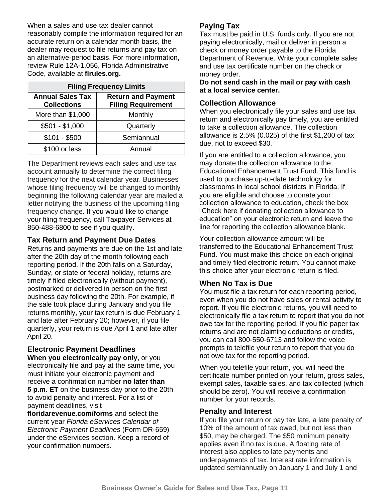When a sales and use tax dealer cannot reasonably compile the information required for an accurate return on a calendar month basis, the dealer may request to file returns and pay tax on an alternative-period basis. For more information, review Rule 12A-1.056, Florida Administrative Code, available at **flrules.org.**

| <b>Filing Frequency Limits</b>                |                                                        |  |  |
|-----------------------------------------------|--------------------------------------------------------|--|--|
| <b>Annual Sales Tax</b><br><b>Collections</b> | <b>Return and Payment</b><br><b>Filing Requirement</b> |  |  |
| More than \$1,000                             | Monthly                                                |  |  |
| $$501 - $1,000$                               | Quarterly                                              |  |  |
| $$101 - $500$                                 | Semiannual                                             |  |  |
| \$100 or less                                 | Annual                                                 |  |  |

The Department reviews each sales and use tax account annually to determine the correct filing frequency for the next calendar year. Businesses whose filing frequency will be changed to monthly beginning the following calendar year are mailed a letter notifying the business of the upcoming filing frequency change. If you would like to change your filing frequency, call Taxpayer Services at 850-488-6800 to see if you qualify.

#### **Tax Return and Payment Due Dates**

Returns and payments are due on the 1st and late after the 20th day of the month following each reporting period. If the 20th falls on a Saturday, Sunday, or state or federal holiday, returns are timely if filed electronically (without payment), postmarked or delivered in person on the first business day following the 20th. For example, if the sale took place during January and you file returns monthly, your tax return is due February 1 and late after February 20; however, if you file quarterly, your return is due April 1 and late after April 20.

# **Electronic Payment Deadlines**

**When you electronically pay only**, or you electronically file and pay at the same time, you must initiate your electronic payment and receive a confirmation number **no later than 5 p.m. ET** on the business day prior to the 20th to avoid penalty and interest. For a list of payment deadlines, visit

**floridarevenue.com/forms** and select the current year *Florida eServices Calendar of Electronic Payment Deadlines* (Form DR-659) under the eServices section. Keep a record of your confirmation numbers.

### **Paying Tax**

Tax must be paid in U.S. funds only. If you are not paying electronically, mail or deliver in person a check or money order payable to the Florida Department of Revenue. Write your complete sales and use tax certificate number on the check or money order.

**Do not send cash in the mail or pay with cash at a local service center.**

#### **Collection Allowance**

When you electronically file your sales and use tax return and electronically pay timely, you are entitled to take a collection allowance. The collection allowance is 2.5% (0.025) of the first \$1,200 of tax due, not to exceed \$30.

If you are entitled to a collection allowance, you may donate the collection allowance to the Educational Enhancement Trust Fund. This fund is used to purchase up-to-date technology for classrooms in local school districts in Florida. If you are eligible and choose to donate your collection allowance to education, check the box "Check here if donating collection allowance to education" on your electronic return and leave the line for reporting the collection allowance blank.

Your collection allowance amount will be transferred to the Educational Enhancement Trust Fund. You must make this choice on each original and timely filed electronic return. You cannot make this choice after your electronic return is filed.

# **When No Tax is Due**

You must file a tax return for each reporting period, even when you do not have sales or rental activity to report. If you file electronic returns, you will need to electronically file a tax return to report that you do not owe tax for the reporting period. If you file paper tax returns and are not claiming deductions or credits, you can call 800-550-6713 and follow the voice prompts to telefile your return to report that you do not owe tax for the reporting period.

When you telefile your return, you will need the certificate number printed on your return, gross sales, exempt sales, taxable sales, and tax collected (which should be zero). You will receive a confirmation number for your records.

#### **Penalty and Interest**

If you file your return or pay tax late, a late penalty of 10% of the amount of tax owed, but not less than \$50, may be charged. The \$50 minimum penalty applies even if no tax is due. A floating rate of interest also applies to late payments and underpayments of tax. Interest rate information is updated semiannually on January 1 and July 1 and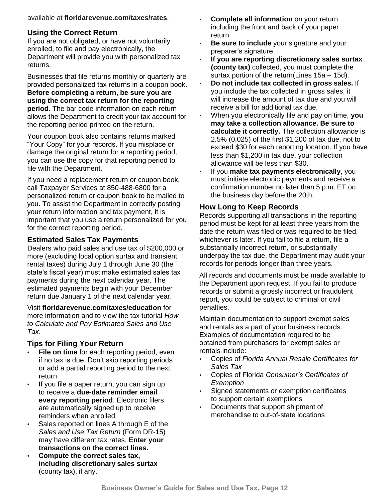available at **floridarevenue.com/taxes/rates**.

### **Using the Correct Return**

If you are not obligated, or have not voluntarily enrolled, to file and pay electronically, the Department will provide you with personalized tax returns.

Businesses that file returns monthly or quarterly are provided personalized tax returns in a coupon book. **Before completing a return, be sure you are using the correct tax return for the reporting period.** The bar code information on each return allows the Department to credit your tax account for the reporting period printed on the return.

Your coupon book also contains returns marked "Your Copy" for your records. If you misplace or damage the original return for a reporting period, you can use the copy for that reporting period to file with the Department.

If you need a replacement return or coupon book, call Taxpayer Services at 850-488-6800 for a personalized return or coupon book to be mailed to you. To assist the Department in correctly posting your return information and tax payment, it is important that you use a return personalized for you for the correct reporting period.

### **Estimated Sales Tax Payments**

Dealers who paid sales and use tax of \$200,000 or more (excluding local option surtax and transient rental taxes) during July 1 through June 30 (the state's fiscal year) must make estimated sales tax payments during the next calendar year. The estimated payments begin with your December return due January 1 of the next calendar year.

Visit **floridarevenue.com/taxes/education** for more information and to view the tax tutorial *How to Calculate and Pay Estimated Sales and Use Tax*.

# **Tips for Filing Your Return**

- **File on time** for each reporting period, even if no tax is due. Don't skip reporting periods or add a partial reporting period to the next return.
- **•** If you file a paper return, you can sign up to receive a **due-date reminder email every reporting period**. Electronic filers are automatically signed up to receive reminders when enrolled.
- **•** Sales reported on lines A through E of the *Sales and Use Tax Return* (Form DR-15) may have different tax rates. **Enter your transactions on the correct lines.**
- **• Compute the correct sales tax, including discretionary sales surtax** (county tax), if any.
- **Complete all information** on your return, including the front and back of your paper return.
- **Be sure to include** your signature and your preparer's signature.
- **If you are reporting discretionary sales surtax (county tax)** collected, you must complete the surtax portion of the return(Lines 15a – 15d).
- **Do not include tax collected in gross sales.** If you include the tax collected in gross sales, it will increase the amount of tax due and you will receive a bill for additional tax due.
- When you electronically file and pay on time, **you may take a collection allowance. Be sure to calculate it correctly.** The collection allowance is 2.5% (0.025) of the first \$1,200 of tax due, not to exceed \$30 for each reporting location. If you have less than \$1,200 in tax due, your collection allowance will be less than \$30.
- If you **make tax payments electronically**, you must initiate electronic payments and receive a confirmation number no later than 5 p.m. ET on the business day before the 20th.

### **How Long to Keep Records**

Records supporting all transactions in the reporting period must be kept for at least three years from the date the return was filed or was required to be filed, whichever is later. If you fail to file a return, file a substantially incorrect return, or substantially underpay the tax due, the Department may audit your records for periods longer than three years.

All records and documents must be made available to the Department upon request. If you fail to produce records or submit a grossly incorrect or fraudulent report, you could be subject to criminal or civil penalties.

Maintain documentation to support exempt sales and rentals as a part of your business records. Examples of documentation required to be obtained from purchasers for exempt sales or rentals include:

- Copies of *Florida Annual Resale Certificates for Sales Tax*
- Copies of Florida *Consumer's Certificates of Exemption*
- Signed statements or exemption certificates to support certain exemptions
- Documents that support shipment of merchandise to out-of-state locations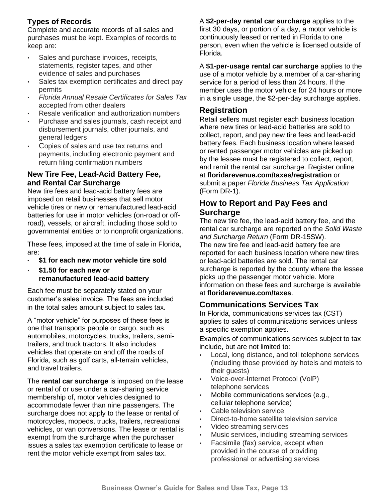# **Types of Records**

Complete and accurate records of all sales and purchases must be kept. Examples of records to keep are:

- Sales and purchase invoices, receipts, statements, register tapes, and other evidence of sales and purchases
- Sales tax exemption certificates and direct pay permits
- *Florida Annual Resale Certificates for Sales Tax* accepted from other dealers
- Resale verification and authorization numbers
- Purchase and sales journals, cash receipt and disbursement journals, other journals, and general ledgers
- Copies of sales and use tax returns and payments, including electronic payment and return filing confirmation numbers

### **New Tire Fee, Lead-Acid Battery Fee, and Rental Car Surcharge**

New tire fees and lead-acid battery fees are imposed on retail businesses that sell motor vehicle tires or new or remanufactured lead-acid batteries for use in motor vehicles (on-road or offroad), vessels, or aircraft, including those sold to governmental entities or to nonprofit organizations.

These fees, imposed at the time of sale in Florida, are:

- **\$1 for each new motor vehicle tire sold**
- **\$1.50 for each new or remanufactured lead-acid battery**

Each fee must be separately stated on your customer's sales invoice. The fees are included in the total sales amount subject to sales tax.

A "motor vehicle" for purposes of these fees is one that transports people or cargo, such as automobiles, motorcycles, trucks, trailers, semitrailers, and truck tractors. It also includes vehicles that operate on and off the roads of Florida, such as golf carts, all-terrain vehicles, and travel trailers.

The **rental car surcharge** is imposed on the lease or rental of or use under a car-sharing service membership of, motor vehicles designed to accommodate fewer than nine passengers. The surcharge does not apply to the lease or rental of motorcycles, mopeds, trucks, trailers, recreational vehicles, or van conversions. The lease or rental is exempt from the surcharge when the purchaser issues a sales tax exemption certificate to lease or rent the motor vehicle exempt from sales tax.

A **\$2-per-day rental car surcharge** applies to the first 30 days, or portion of a day, a motor vehicle is continuously leased or rented in Florida to one person, even when the vehicle is licensed outside of Florida.

A **\$1-per-usage rental car surcharge** applies to the use of a motor vehicle by a member of a car-sharing service for a period of less than 24 hours. If the member uses the motor vehicle for 24 hours or more in a single usage, the \$2-per-day surcharge applies.

# **Registration**

Retail sellers must register each business location where new tires or lead-acid batteries are sold to collect, report, and pay new tire fees and lead-acid battery fees. Each business location where leased or rented passenger motor vehicles are picked up by the lessee must be registered to collect, report, and remit the rental car surcharge. Register online at **floridarevenue.com/taxes/registration** or submit a paper *Florida Business Tax Application* (Form DR-1).

# **How to Report and Pay Fees and Surcharge**

The new tire fee, the lead-acid battery fee, and the rental car surcharge are reported on the *Solid Waste and Surcharge Return* (Form DR-15SW). The new tire fee and lead-acid battery fee are reported for each business location where new tires or lead-acid batteries are sold. The rental car surcharge is reported by the county where the lessee picks up the passenger motor vehicle. More information on these fees and surcharge is available at **floridarevenue.com/taxes**.

# **Communications Services Tax**

In Florida, communications services tax (CST) applies to sales of communications services unless a specific exemption applies.

Examples of communications services subject to tax include, but are not limited to:

- Local, long distance, and toll telephone services (including those provided by hotels and motels to their guests)
- Voice-over-Internet Protocol (VolP) telephone services
- Mobile communications services (e.g., cellular telephone service)
- Cable television service
- Direct-to-home satellite television service
- Video streaming services
- Music services, including streaming services
- Facsimile (fax) service, except when provided in the course of providing professional or advertising services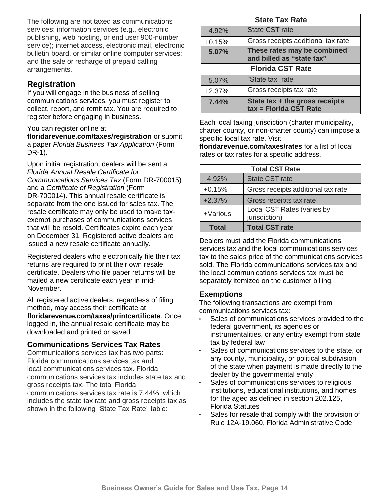The following are not taxed as communications services: information services (e.g., electronic publishing, web hosting, or end user 900-number service); internet access, electronic mail, electronic bulletin board, or similar online computer services; and the sale or recharge of prepaid calling arrangements.

# **Registration**

If you will engage in the business of selling communications services, you must register to collect, report, and remit tax. You are required to register before engaging in business.

#### You can register online at

**floridarevenue.com/taxes/registration** or submit a paper *Florida Business Tax Application* (Form DR-1).

Upon initial registration, dealers will be sent a *Florida Annual Resale Certificate for Communications Services Tax* (Form DR-700015) and a *Certificate of Registration* (Form DR-700014). This annual resale certificate is separate from the one issued for sales tax. The resale certificate may only be used to make taxexempt purchases of communications services that will be resold. Certificates expire each year on December 31. Registered active dealers are issued a new resale certificate annually.

Registered dealers who electronically file their tax returns are required to print their own resale certificate. Dealers who file paper returns will be mailed a new certificate each year in mid-November.

All registered active dealers, regardless of filing method, may access their certificate at **floridarevenue.com/taxes/printcertificate**. Once logged in, the annual resale certificate may be downloaded and printed or saved.

### **Communications Services Tax Rates**

Communications services tax has two parts: Florida communications services tax and local communications services tax. Florida communications services tax includes state tax and gross receipts tax. The total Florida communications services tax rate is 7.44%, which includes the state tax rate and gross receipts tax as shown in the following "State Tax Rate" table:

| <b>State Tax Rate</b>   |                                                            |  |
|-------------------------|------------------------------------------------------------|--|
| 4.92%                   | <b>State CST rate</b>                                      |  |
| $+0.15%$                | Gross receipts additional tax rate                         |  |
| 5.07%                   | These rates may be combined<br>and billed as "state tax"   |  |
| <b>Florida CST Rate</b> |                                                            |  |
| 5.07%                   | "State tax" rate                                           |  |
| $+2.37%$                | Gross receipts tax rate                                    |  |
| 7.44%                   | State tax $+$ the gross receipts<br>tax = Florida CST Rate |  |

Each local taxing jurisdiction (charter municipality, charter county, or non-charter county) can impose a specific local tax rate. Visit

**floridarevenue.com/taxes/rates** for a list of local rates or tax rates for a specific address.

| <b>Total CST Rate</b> |                                             |  |  |
|-----------------------|---------------------------------------------|--|--|
| 4.92%                 | <b>State CST rate</b>                       |  |  |
| $+0.15%$              | Gross receipts additional tax rate          |  |  |
| $+2.37%$              | Gross receipts tax rate                     |  |  |
| +Various              | Local CST Rates (varies by<br>jurisdiction) |  |  |
| <b>Total</b>          | <b>Total CST rate</b>                       |  |  |

Dealers must add the Florida communications services tax and the local communications services tax to the sales price of the communications services sold. The Florida communications services tax and the local communications services tax must be separately itemized on the customer billing.

#### **Exemptions**

The following transactions are exempt from communications services tax:

- Sales of communications services provided to the federal government, its agencies or instrumentalities, or any entity exempt from state tax by federal law
- Sales of communications services to the state, or any county, municipality, or political subdivision of the state when payment is made directly to the dealer by the governmental entity
- Sales of communications services to religious institutions, educational institutions, and homes for the aged as defined in section 202.125, Florida Statutes
- Sales for resale that comply with the provision of Rule 12A-19.060, Florida Administrative Code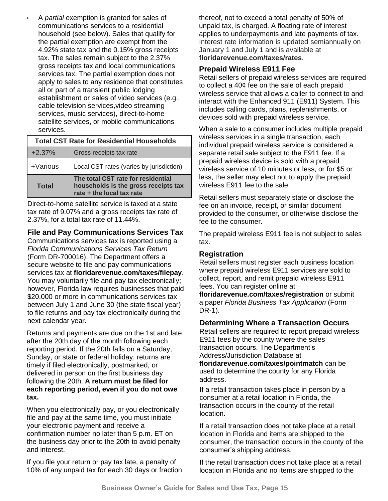• A *partial* exemption is granted for sales of communications services to a residential household (see below). Sales that qualify for the partial exemption are exempt from the 4.92% state tax and the 0.15% gross receipts tax. The sales remain subject to the 2.37% gross receipts tax and local communications services tax. The partial exemption does not apply to sales to any residence that constitutes all or part of a transient public lodging establishment or sales of video services (e.g., cable television services,video streaming services, music services), direct-to-home satellite services, or mobile communications services.

#### **Total CST Rate for Residential Households**

| $+2.37%$     | Gross receipts tax rate                                                                                 |
|--------------|---------------------------------------------------------------------------------------------------------|
| $+$ Various  | Local CST rates (varies by jurisdiction)                                                                |
| <b>Total</b> | The total CST rate for residential<br>households is the gross receipts tax<br>rate + the local tax rate |

Direct-to-home satellite service is taxed at a state tax rate of 9.07% and a gross receipts tax rate of 2.37%, for a total tax rate of 11.44%.

#### **File and Pay Communications Services Tax**

Communications services tax is reported using a *Florida Communications Services Tax Return*  (Form DR-700016). The Department offers a secure website to file and pay communications services tax at **floridarevenue.com/taxes/filepay**. You may voluntarily file and pay tax electronically; however, Florida law requires businesses that paid \$20,000 or more in communications services tax between July 1 and June 30 (the state fiscal year) to file returns and pay tax electronically during the next calendar year.

Returns and payments are due on the 1st and late after the 20th day of the month following each reporting period. If the 20th falls on a Saturday, Sunday, or state or federal holiday, returns are timely if filed electronically, postmarked, or delivered in person on the first business day following the 20th. **A return must be filed for each reporting period, even if you do not owe tax.**

When you electronically pay, or you electronically file and pay at the same time, you must initiate your electronic payment and receive a confirmation number no later than 5 p.m. ET on the business day prior to the 20th to avoid penalty and interest.

If you file your return or pay tax late, a penalty of 10% of any unpaid tax for each 30 days or fraction

thereof, not to exceed a total penalty of 50% of unpaid tax, is charged. A floating rate of interest applies to underpayments and late payments of tax. Interest rate information is updated semiannually on January 1 and July 1 and is available at **floridarevenue.com/taxes/rates**.

#### **Prepaid Wireless E911 Fee**

Retail sellers of prepaid wireless services are required to collect a 40¢ fee on the sale of each prepaid wireless service that allows a caller to connect to and interact with the Enhanced 911 (E911) System. This includes calling cards, plans, replenishments, or devices sold with prepaid wireless service.

When a sale to a consumer includes multiple prepaid wireless services in a single transaction, each individual prepaid wireless service is considered a separate retail sale subject to the E911 fee. If a prepaid wireless device is sold with a prepaid wireless service of 10 minutes or less, or for \$5 or less, the seller may elect not to apply the prepaid wireless E911 fee to the sale.

Retail sellers must separately state or disclose the fee on an invoice, receipt, or similar document provided to the consumer, or otherwise disclose the fee to the consumer.

The prepaid wireless E911 fee is not subject to sales tax.

#### **Registration**

Retail sellers must register each business location where prepaid wireless E911 services are sold to collect, report, and remit prepaid wireless E911 fees. You can register online at

**floridarevenue.com/taxes/registration** or submit a paper *Florida Business Tax Application* (Form DR-1).

#### **Determining Where a Transaction Occurs**

Retail sellers are required to report prepaid wireless E911 fees by the county where the sales transaction occurs. The Department's Address/Jurisdiction Database at

**floridarevenue.com/taxes/pointmatch** can be used to determine the county for any Florida address.

If a retail transaction takes place in person by a consumer at a retail location in Florida, the transaction occurs in the county of the retail location.

If a retail transaction does not take place at a retail location in Florida and items are shipped to the consumer, the transaction occurs in the county of the consumer's shipping address.

If the retail transaction does not take place at a retail location in Florida and no items are shipped to the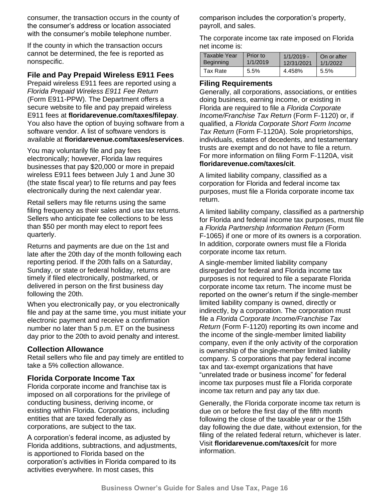consumer, the transaction occurs in the county of the consumer's address or location associated with the consumer's mobile telephone number.

If the county in which the transaction occurs cannot be determined, the fee is reported as nonspecific.

### **File and Pay Prepaid Wireless E911 Fees**

Prepaid wireless E911 fees are reported using a *Florida Prepaid Wireless E911 Fee Return* (Form E911-PPW). The Department offers a secure website to file and pay prepaid wireless E911 fees at **floridarevenue.com/taxes/filepay**. You also have the option of buying software from a software vendor. A list of software vendors is available at **floridarevenue.com/taxes/eservices**.

You may voluntarily file and pay fees electronically; however, Florida law requires businesses that pay \$20,000 or more in prepaid wireless E911 fees between July 1 and June 30 (the state fiscal year) to file returns and pay fees electronically during the next calendar year.

Retail sellers may file returns using the same filing frequency as their sales and use tax returns. Sellers who anticipate fee collections to be less than \$50 per month may elect to report fees quarterly.

Returns and payments are due on the 1st and late after the 20th day of the month following each reporting period. If the 20th falls on a Saturday, Sunday, or state or federal holiday, returns are timely if filed electronically, postmarked, or delivered in person on the first business day following the 20th.

When you electronically pay, or you electronically file and pay at the same time, you must initiate your electronic payment and receive a confirmation number no later than 5 p.m. ET on the business day prior to the 20th to avoid penalty and interest.

#### **Collection Allowance**

Retail sellers who file and pay timely are entitled to take a 5% collection allowance.

### **Florida Corporate Income Tax**

Florida corporate income and franchise tax is imposed on all corporations for the privilege of conducting business, deriving income, or existing within Florida. Corporations, including entities that are taxed federally as corporations, are subject to the tax.

A corporation's federal income, as adjusted by Florida additions, subtractions, and adjustments, is apportioned to Florida based on the corporation's activities in Florida compared to its activities everywhere. In most cases, this

comparison includes the corporation's property, payroll, and sales.

The corporate income tax rate imposed on Florida net income is:

| Taxable Year     | Prior to | $1/1/2019 -$ | On or after |
|------------------|----------|--------------|-------------|
| <b>Beginning</b> | 1/1/2019 | 12/31/2021   | 1/1/2022    |
| Tax Rate         | 5.5%     | 4.458%       | 5.5%        |

#### **Filing Requirements**

Generally, all corporations, associations, or entities doing business, earning income, or existing in Florida are required to file a *Florida Corporate Income/Franchise Tax Return* (Form F-1120) or, if qualified, a *Florida Corporate Short Form Income Tax Return* (Form F-1120A). Sole proprietorships, individuals, estates of decedents, and testamentary trusts are exempt and do not have to file a return. For more information on filing Form F-1120A, visit **floridarevenue.com/taxes/cit**.

A limited liability company, classified as a corporation for Florida and federal income tax purposes, must file a Florida corporate income tax return.

A limited liability company, classified as a partnership for Florida and federal income tax purposes, must file a *Florida Partnership Information Return* (Form F-1065) if one or more of its owners is a corporation. In addition, corporate owners must file a Florida corporate income tax return.

A single-member limited liability company disregarded for federal and Florida income tax purposes is not required to file a separate Florida corporate income tax return. The income must be reported on the owner's return if the single-member limited liability company is owned, directly or indirectly, by a corporation. The corporation must file a *Florida Corporate Income/Franchise Tax Return* (Form F-1120) reporting its own income and the income of the single-member limited liability company, even if the only activity of the corporation is ownership of the single-member limited liability company. S corporations that pay federal income tax and tax-exempt organizations that have "unrelated trade or business income" for federal income tax purposes must file a Florida corporate income tax return and pay any tax due.

Generally, the Florida corporate income tax return is due on or before the first day of the fifth month following the close of the taxable year or the 15th day following the due date, without extension, for the filing of the related federal return, whichever is later. Visit **floridarevenue.com/taxes/cit** for more information.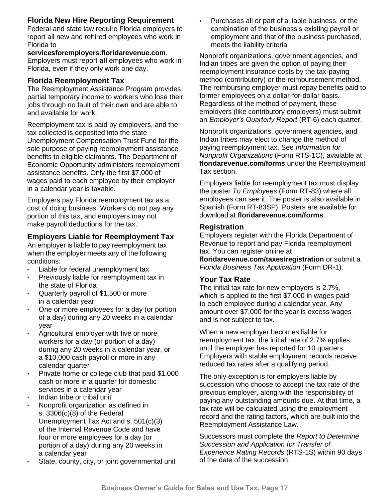# **Florida New Hire Reporting Requirement**

Federal and state law require Florida employers to report all new and rehired employees who work in Florida to

#### **servicesforemployers.floridarevenue.com**.

Employers must report **all** employees who work in Florida, even if they only work one day.

### **Florida Reemployment Tax**

The Reemployment Assistance Program provides partial temporary income to workers who lose their jobs through no fault of their own and are able to and available for work.

Reemployment tax is paid by employers, and the tax collected is deposited into the state Unemployment Compensation Trust Fund for the sole purpose of paying reemployment assistance benefits to eligible claimants. The Department of Economic Opportunity administers reemployment assistance benefits. Only the first \$7,000 of wages paid to each employee by their employer in a calendar year is taxable.

Employers pay Florida reemployment tax as a cost of doing business. Workers do not pay any portion of this tax, and employers may not make payroll deductions for the tax.

# **Employers Liable for Reemployment Tax**

An employer is liable to pay reemployment tax when the employer meets any of the following conditions:

- Liable for federal unemployment tax
- Previously liable for reemployment tax in the state of Florida
- Quarterly payroll of \$1,500 or more in a calendar year
- One or more employees for a day (or portion of a day) during any 20 weeks in a calendar year
- Agricultural employer with five or more workers for a day (or portion of a day) during any 20 weeks in a calendar year, or a \$10,000 cash payroll or more in any calendar quarter
- Private home or college club that paid \$1,000 cash or more in a quarter for domestic services in a calendar year
- Indian tribe or tribal unit
- Nonprofit organization as defined in s. 3306(c)(8) of the Federal Unemployment Tax Act and s. 501(c)(3) of the Internal Revenue Code and have four or more employees for a day (or portion of a day) during any 20 weeks in a calendar year
- State, county, city, or joint governmental unit

• Purchases all or part of a liable business, or the combination of the business's existing payroll or employment and that of the business purchased, meets the liability criteria

Nonprofit organizations, government agencies, and Indian tribes are given the option of paying their reemployment insurance costs by the tax-paying method (contributory) or the reimbursement method. The reimbursing employer must repay benefits paid to former employees on a dollar-for-dollar basis. Regardless of the method of payment, these employers (like contributory employers) must submit an *Employer's Quarterly Report* (RT-6) each quarter.

Nonprofit organizations, government agencies, and Indian tribes may elect to change the method of paying reemployment tax. See *Information for Nonprofit Organizations* (Form RTS-1C), available at **floridarevenue.com/forms** under the Reemployment Tax section.

Employers liable for reemployment tax must display the poster *To Employees* (Form RT-83) where all employees can see it. The poster is also available in Spanish (Form RT-83SP). Posters are available for download at **floridarevenue.com/forms**.

### **Registration**

Employers register with the Florida Department of Revenue to report and pay Florida reemployment tax. You can register online at

**floridarevenue.com/taxes/registration** or submit a *Florida Business Tax Application* (Form DR-1).

# **Your Tax Rate**

The initial tax rate for new employers is 2.7%, which is applied to the first \$7,000 in wages paid to each employee during a calendar year. Any amount over \$7,000 for the year is excess wages and is not subject to tax.

When a new employer becomes liable for reemployment tax, the initial rate of 2.7% applies until the employer has reported for 10 quarters. Employers with stable employment records receive reduced tax rates after a qualifying period.

The only exception is for employers liable by succession who choose to accept the tax rate of the previous employer, along with the responsibility of paying any outstanding amounts due. At that time, a tax rate will be calculated using the employment record and the rating factors, which are built into the Reemployment Assistance Law.

Successors must complete the *Report to Determine Succession and Application for Transfer of Experience Rating Records* (RTS-1S) within 90 days of the date of the succession.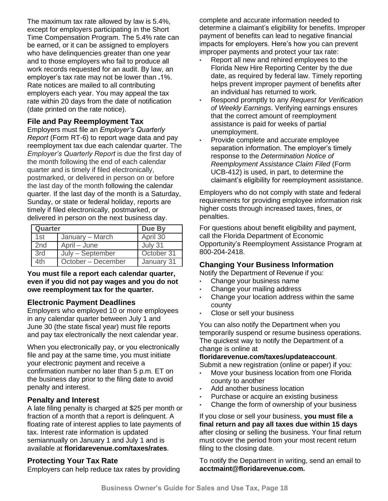The maximum tax rate allowed by law is 5.4%, except for employers participating in the Short Time Compensation Program. The 5.4% rate can be earned, or it can be assigned to employers who have delinquencies greater than one year and to those employers who fail to produce all work records requested for an audit. By law, an employer's tax rate may not be lower than **.**1%. Rate notices are mailed to all contributing employers each year. You may appeal the tax rate within 20 days from the date of notification (date printed on the rate notice).

### **File and Pay Reemployment Tax**

Employers must file an *Employer's Quarterly Report* (Form RT-6) to report wage data and pay reemployment tax due each calendar quarter. The *Employer's Quarterly Report* is due the first day of the month following the end of each calendar quarter and is timely if filed electronically, postmarked, or delivered in person on or before the last day of the month following the calendar quarter. If the last day of the month is a Saturday, Sunday, or state or federal holiday, reports are timely if filed electronically, postmarked, or delivered in person on the next business day.

| Quarter         |                    | Due By     |
|-----------------|--------------------|------------|
| 1st             | January – March    | April 30   |
| 2 <sub>nd</sub> | April – June       | July 31    |
| 3rd             | July - September   | October 31 |
| 4th             | October - December | January 31 |

#### **You must file a report each calendar quarter, even if you did not pay wages and you do not owe reemployment tax for the quarter.**

### **Electronic Payment Deadlines**

Employers who employed 10 or more employees in any calendar quarter between July 1 and June 30 (the state fiscal year) must file reports and pay tax electronically the next calendar year.

When you electronically pay, or you electronically file and pay at the same time, you must initiate your electronic payment and receive a confirmation number no later than 5 p.m. ET on the business day prior to the filing date to avoid penalty and interest.

### **Penalty and Interest**

A late filing penalty is charged at \$25 per month or fraction of a month that a report is delinquent. A floating rate of interest applies to late payments of tax. Interest rate information is updated semiannually on January 1 and July 1 and is available at **floridarevenue.com/taxes/rates**.

### **Protecting Your Tax Rate**

Employers can help reduce tax rates by providing

complete and accurate information needed to determine a claimant's eligibility for benefits. Improper payment of benefits can lead to negative financial impacts for employers. Here's how you can prevent improper payments and protect your tax rate:

- Report all new and rehired employees to the Florida New Hire Reporting Center by the due date, as required by federal law. Timely reporting helps prevent improper payment of benefits after an individual has returned to work.
- Respond promptly to any *Request for Verification of Weekly Earnings*. Verifying earnings ensures that the correct amount of reemployment assistance is paid for weeks of partial unemployment.
- Provide complete and accurate employee separation information. The employer's timely response to the *Determination Notice of Reemployment Assistance Claim Filed* (Form UCB-412) is used, in part, to determine the claimant's eligibility for reemployment assistance.

Employers who do not comply with state and federal requirements for providing employee information risk higher costs through increased taxes, fines, or penalties.

For questions about benefit eligibility and payment, call the Florida Department of Economic Opportunity's Reemployment Assistance Program at 800-204-2418.

### **Changing Your Business Information**

Notify the Department of Revenue if you:

- Change your business name
- Change your mailing address
- Change your location address within the same county
- Close or sell your business

You can also notify the Department when you temporarily suspend or resume business operations. The quickest way to notify the Department of a change is online at

#### **floridarevenue.com/taxes/updateaccount**.

Submit a new registration (online or paper) if you:

- Move your business location from one Florida county to another
- Add another business location
- Purchase or acquire an existing business
- Change the form of ownership of your business

If you close or sell your business, **you must file a final return and pay all taxes due within 15 days** after closing or selling the business. Your final return must cover the period from your most recent return filing to the closing date.

To notify the Department in writing, send an email to **[acctmaint@floridarevenue.com.](mailto:acctmaint@floridarevenue.com.%20To)**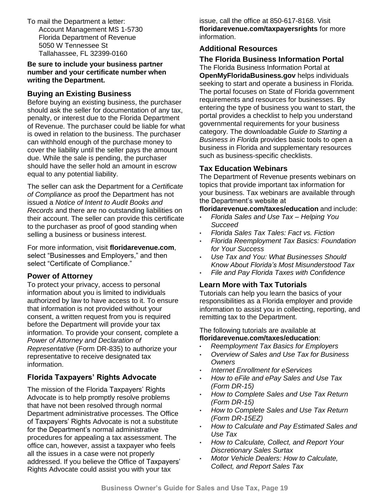[To](mailto:acctmaint@floridarevenue.com.%20To) mail the Department a letter: Account Management MS 1-5730 Florida Department of Revenue 5050 W Tennessee St Tallahassee, FL 32399-0160

**Be sure to include your business partner number and your certificate number when writing the Department.**

### **Buying an Existing Business**

Before buying an existing business, the purchaser should ask the seller for documentation of any tax, penalty, or interest due to the Florida Department of Revenue. The purchaser could be liable for what is owed in relation to the business. The purchaser can withhold enough of the purchase money to cover the liability until the seller pays the amount due. While the sale is pending, the purchaser should have the seller hold an amount in escrow equal to any potential liability.

The seller can ask the Department for a *Certificate of Compliance* as proof the Department has not issued a *Notice of Intent to Audit Books and Records* and there are no outstanding liabilities on their account. The seller can provide this certificate to the purchaser as proof of good standing when selling a business or business interest.

For more information, visit **floridarevenue.com**, select "Businesses and Employers," and then select "Certificate of Compliance."

### **Power of Attorney**

To protect your privacy, access to personal information about you is limited to individuals authorized by law to have access to it. To ensure that information is not provided without your consent, a written request from you is required before the Department will provide your tax information. To provide your consent, complete a *Power of Attorney and Declaration of Representative* (Form DR-835) to authorize your representative to receive designated tax information.

# **Florida Taxpayers' Rights Advocate**

The mission of the Florida Taxpayers' Rights Advocate is to help promptly resolve problems that have not been resolved through normal Department administrative processes. The Office of Taxpayers' Rights Advocate is not a substitute for the Department's normal administrative procedures for appealing a tax assessment. The office can, however, assist a taxpayer who feels all the issues in a case were not properly addressed. If you believe the Office of Taxpayers' Rights Advocate could assist you with your tax

issue, call the office at 850-617-8168. Visit **floridarevenue.com/taxpayersrights** for more information.

# **Additional Resources**

#### **The Florida Business Information Portal** The Florida Business Information Portal at **OpenMyFloridaBusiness.gov** helps individuals seeking to start and operate a business in Florida. The portal focuses on State of Florida government requirements and resources for businesses. By entering the type of business you want to start, the portal provides a checklist to help you understand governmental requirements for your business category. The downloadable *Guide to Starting a Business in Florida* provides basic tools to open a business in Florida and supplementary resources such as business-specific checklists.

### **Tax Education Webinars**

The Department of Revenue presents webinars on topics that provide important tax information for your business. Tax webinars are available through the Department's website at

**floridarevenue.com/taxes/education** and include:

- *Florida Sales and Use Tax – Helping You Succeed*
- *Florida Sales Tax Tales: Fact vs. Fiction*
- *Florida Reemployment Tax Basics: Foundation for Your Success*
- *Use Tax and You: What Businesses Should Know About Florida's Most Misunderstood Tax*
- *File and Pay Florida Taxes with Confidence*

### **Learn More with Tax Tutorials**

Tutorials can help you learn the basics of your responsibilities as a Florida employer and provide information to assist you in collecting, reporting, and remitting tax to the Department.

#### The following tutorials are available at **floridarevenue.com/taxes/education**:

- *Reemployment Tax Basics for Employers*
- *Overview of Sales and Use Tax for Business Owners*
- *Internet Enrollment for eServices*
- *How to eFile and ePay Sales and Use Tax (Form DR-15)*
- *How to Complete Sales and Use Tax Return (Form DR-15)*
- *How to Complete Sales and Use Tax Return (Form DR-15EZ)*
- *How to Calculate and Pay Estimated Sales and Use Tax*
- *How to Calculate, Collect, and Report Your Discretionary Sales Surtax*
- *Motor Vehicle Dealers: How to Calculate, Collect, and Report Sales Tax*